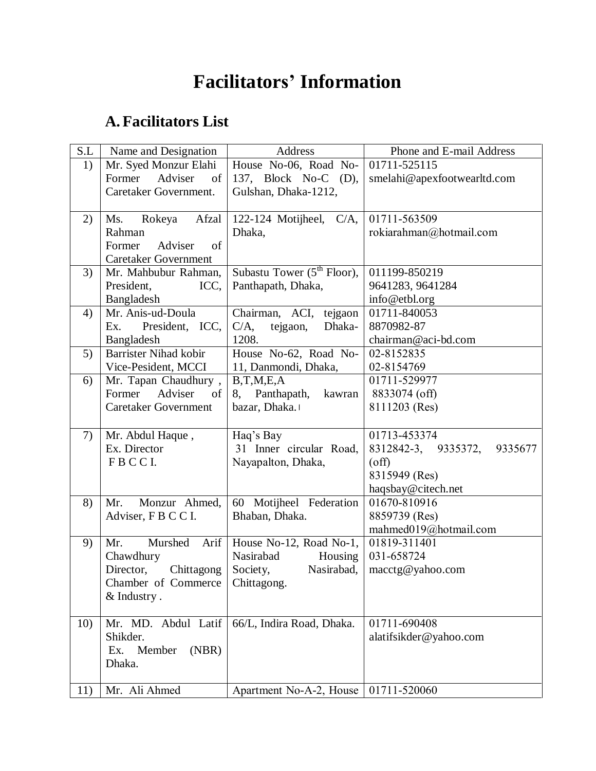# **Facilitators' Information**

## **A. Facilitators List**

| S.L | Name and Designation         | Address                                | Phone and E-mail Address       |
|-----|------------------------------|----------------------------------------|--------------------------------|
| 1)  | Mr. Syed Monzur Elahi        | House No-06, Road No-                  | 01711-525115                   |
|     | Former<br>Adviser<br>of      | 137, Block No-C (D),                   | smelahi@apexfootwearltd.com    |
|     | Caretaker Government.        | Gulshan, Dhaka-1212,                   |                                |
|     |                              |                                        |                                |
| 2)  | Afzal<br>Ms.<br>Rokeya       | 122-124 Motijheel, $C/A$ ,             | 01711-563509                   |
|     | Rahman                       | Dhaka,                                 | rokiarahman@hotmail.com        |
|     | Former<br>of<br>Adviser      |                                        |                                |
|     | <b>Caretaker Government</b>  |                                        |                                |
| 3)  | Mr. Mahbubur Rahman,         | Subastu Tower $(5^{th}$ Floor),        | 011199-850219                  |
|     | President,<br>ICC,           | Panthapath, Dhaka,                     | 9641283, 9641284               |
|     | Bangladesh                   |                                        | info@etbl.org                  |
| 4)  | Mr. Anis-ud-Doula            | Chairman, ACI, tejgaon                 | 01711-840053                   |
|     | President, ICC,<br>Ex.       | $C/A$ ,<br>Dhaka-<br>tejgaon,          | 8870982-87                     |
|     | Bangladesh                   | 1208.                                  | chairman@aci-bd.com            |
| 5)  | <b>Barrister Nihad kobir</b> | House No-62, Road No-                  | 02-8152835                     |
|     | Vice-Pesident, MCCI          | 11, Danmondi, Dhaka,                   | 02-8154769                     |
| 6)  | Mr. Tapan Chaudhury,         | B,T,M,E,A                              | 01711-529977                   |
|     | Adviser<br>Former<br>of      | 8, Panthapath,<br>kawran               | 8833074 (off)                  |
|     | <b>Caretaker Government</b>  | bazar, Dhaka.                          | 8111203 (Res)                  |
|     |                              |                                        |                                |
| 7)  | Mr. Abdul Haque,             | Haq's Bay                              | 01713-453374                   |
|     | Ex. Director                 | 31 Inner circular Road,                | 8312842-3, 9335372,<br>9335677 |
|     | FBCCI.                       | Nayapalton, Dhaka,                     | $\text{(\text{off})}$          |
|     |                              |                                        | 8315949 (Res)                  |
|     |                              |                                        | haqsbay@citech.net             |
| 8)  | Mr.<br>Monzur Ahmed,         | 60 Motijheel Federation                | 01670-810916                   |
|     | Adviser, F B C C I.          | Bhaban, Dhaka.                         | 8859739 (Res)                  |
|     |                              |                                        | mahmed019@hotmail.com          |
| 9)  | Murshed<br>Mr.<br>Arif       | House No-12, Road No-1,                | 01819-311401                   |
|     | Chawdhury                    | Nasirabad<br>Housing                   | 031-658724                     |
|     | Chittagong<br>Director,      | Nasirabad,<br>Society,                 | macctg@yahoo.com               |
|     | Chamber of Commerce          | Chittagong.                            |                                |
|     | & Industry.                  |                                        |                                |
|     |                              |                                        |                                |
| 10) | Mr. MD. Abdul Latif          | 66/L, Indira Road, Dhaka.              | 01711-690408                   |
|     | Shikder.                     |                                        | alatifsikder@yahoo.com         |
|     | (NBR)<br>Ex.<br>Member       |                                        |                                |
|     | Dhaka.                       |                                        |                                |
|     | Mr. Ali Ahmed                | Apartment No-A-2, House   01711-520060 |                                |
| 11) |                              |                                        |                                |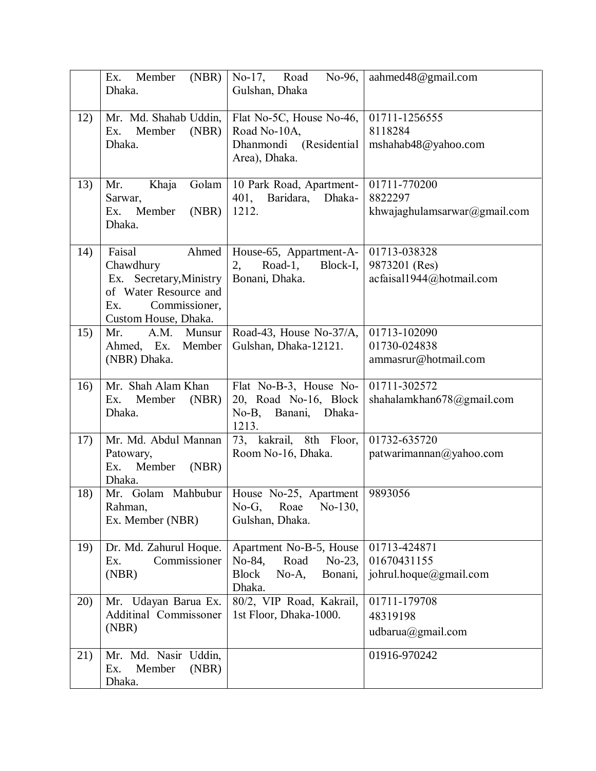|     | (NBR)<br>Ex.<br>Member<br>Dhaka.                                                                                                 | No-17, Road<br>No-96,<br>Gulshan, Dhaka                                                                 | aahmed48@gmail.com                                        |
|-----|----------------------------------------------------------------------------------------------------------------------------------|---------------------------------------------------------------------------------------------------------|-----------------------------------------------------------|
| 12) | Mr. Md. Shahab Uddin,<br>(NBR)<br>Ex.<br>Member<br>Dhaka.                                                                        | Flat No-5C, House No-46,<br>Road No-10A,<br>Dhanmondi (Residential<br>Area), Dhaka.                     | 01711-1256555<br>8118284<br>mshahab48@yahoo.com           |
| 13) | Khaja<br>Golam<br>Mr.<br>Sarwar,<br>Member<br>(NBR)<br>Ex.<br>Dhaka.                                                             | 10 Park Road, Apartment-<br>401, Baridara,<br>Dhaka-<br>1212.                                           | 01711-770200<br>8822297<br>khwajaghulamsarwar@gmail.com   |
| 14) | Faisal<br>Ahmed<br>Chawdhury<br>Ex. Secretary, Ministry<br>of Water Resource and<br>Commissioner,<br>Ex.<br>Custom House, Dhaka. | House-65, Appartment-A-<br>Road-1, Block-I,<br>2,<br>Bonani, Dhaka.                                     | 01713-038328<br>9873201 (Res)<br>acfaisal1944@hotmail.com |
| 15) | A.M. Munsur<br>Mr.<br>Ahmed, Ex. Member<br>(NBR) Dhaka.                                                                          | Road-43, House No-37/A,<br>Gulshan, Dhaka-12121.                                                        | 01713-102090<br>01730-024838<br>ammasrur@hotmail.com      |
| 16) | Mr. Shah Alam Khan<br>Ex.<br>Member<br>(NBR)<br>Dhaka.                                                                           | Flat No-B-3, House No-<br>20, Road No-16, Block<br>No-B, Banani, Dhaka-<br>1213.                        | 01711-302572<br>shahalamkhan678@gmail.com                 |
| 17) | Mr. Md. Abdul Mannan<br>Patowary,<br>Member<br>(NBR)<br>Ex.<br>Dhaka.                                                            | 73, kakrail, 8th Floor,<br>Room No-16, Dhaka.                                                           | 01732-635720<br>patwarimannan@yahoo.com                   |
| 18) | Rahman,<br>Ex. Member (NBR)                                                                                                      | Mr. Golam Mahbubur   House No-25, Apartment<br>No-G, Roae No-130,<br>Gulshan, Dhaka.                    | 9893056                                                   |
| 19) | Dr. Md. Zahurul Hoque.<br>Commissioner<br>Ex.<br>(NBR)                                                                           | Apartment No-B-5, House<br>Road<br>No-84,<br>$No-23$ ,<br><b>Block</b><br>$No-A$ ,<br>Bonani,<br>Dhaka. | 01713-424871<br>01670431155<br>johrul.hoque@gmail.com     |
| 20) | Mr. Udayan Barua Ex.<br>Additinal Commissoner<br>(NBR)                                                                           | 80/2, VIP Road, Kakrail,<br>1st Floor, Dhaka-1000.                                                      | 01711-179708<br>48319198<br>udbarua@gmail.com             |
| 21) | Mr. Md. Nasir Uddin,<br>Ex.<br>Member<br>(NBR)<br>Dhaka.                                                                         |                                                                                                         | 01916-970242                                              |